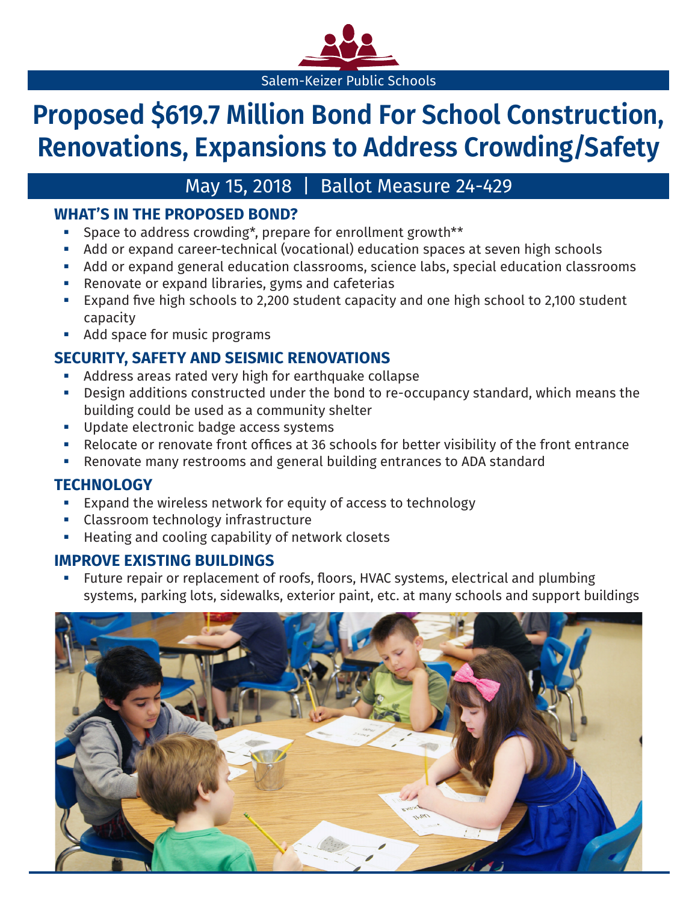

# **Proposed \$619.7 Million Bond For School Construction, Renovations, Expansions to Address Crowding/Safety**

## May 15, 2018 | Ballot Measure 24-429

## **WHAT'S IN THE PROPOSED BOND?**

- Space to address crowding\*, prepare for enrollment growth\*\*
- Add or expand career-technical (vocational) education spaces at seven high schools
- Add or expand general education classrooms, science labs, special education classrooms
- **EXECTE:** Renovate or expand libraries, gyms and cafeterias
- Expand five high schools to 2,200 student capacity and one high school to 2,100 student capacity
- **Add space for music programs**

## **SECURITY, SAFETY AND SEISMIC RENOVATIONS**

- Address areas rated very high for earthquake collapse
- Design additions constructed under the bond to re-occupancy standard, which means the building could be used as a community shelter
- **Update electronic badge access systems**
- Relocate or renovate front offices at 36 schools for better visibility of the front entrance
- Renovate many restrooms and general building entrances to ADA standard

## **TECHNOLOGY**

- Expand the wireless network for equity of access to technology
- Classroom technology infrastructure
- Heating and cooling capability of network closets

### **IMPROVE EXISTING BUILDINGS**

 Future repair or replacement of roofs, floors, HVAC systems, electrical and plumbing systems, parking lots, sidewalks, exterior paint, etc. at many schools and support buildings